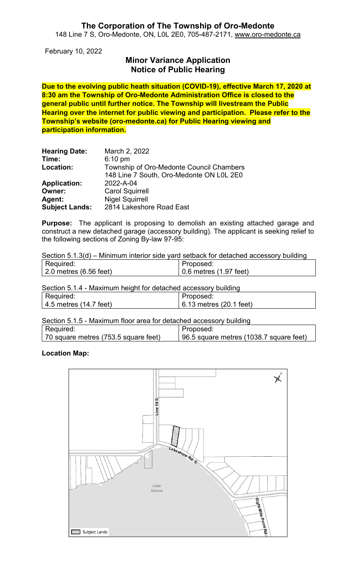## **The Corporation of The Township of Oro-Medonte** 148 Line 7 S, Oro-Medonte, ON, L0L 2E0, 705-487-2171, [www.oro-medonte.ca](http://www.oro-medonte.ca/)

February 10, 2022

## **Minor Variance Application Notice of Public Hearing**

**Due to the evolving public heath situation (COVID-19), effective March 17, 2020 at 8:30 am the Township of Oro-Medonte Administration Office is closed to the general public until further notice. The Township will livestream the Public Hearing over the internet for public viewing and participation. Please refer to the Township's website (oro-medonte.ca) for Public Hearing viewing and participation information.**

| <b>Hearing Date:</b><br>Time: | March 2, 2022<br>$6:10 \text{ pm}$       |
|-------------------------------|------------------------------------------|
| Location:                     | Township of Oro-Medonte Council Chambers |
|                               | 148 Line 7 South, Oro-Medonte ON L0L 2E0 |
| <b>Application:</b>           | 2022-A-04                                |
| Owner:                        | <b>Carol Squirrell</b>                   |
| Agent:                        | <b>Nigel Squirrell</b>                   |
| <b>Subject Lands:</b>         | 2814 Lakeshore Road East                 |

**Purpose:** The applicant is proposing to demolish an existing attached garage and construct a new detached garage (accessory building). The applicant is seeking relief to the following sections of Zoning By-law 97-95:

Section 5.1.3(d) – Minimum interior side yard setback for detached accessory building

| Required:                      | Proposed:              |
|--------------------------------|------------------------|
| $\vert$ 2.0 metres (6.56 feet) | 0.6 metres (1.97 feet) |

Section 5.1.4 - Maximum height for detached accessory building

| Required:              | Proposed:               |
|------------------------|-------------------------|
| 4.5 metres (14.7 feet) | 6.13 metres (20.1 feet) |

Section 5.1.5 - Maximum floor area for detached accessory building

| Required:                            | Proposed:                               |
|--------------------------------------|-----------------------------------------|
| 70 square metres (753.5 square feet) | 96.5 square metres (1038.7 square feet) |

#### **Location Map:**

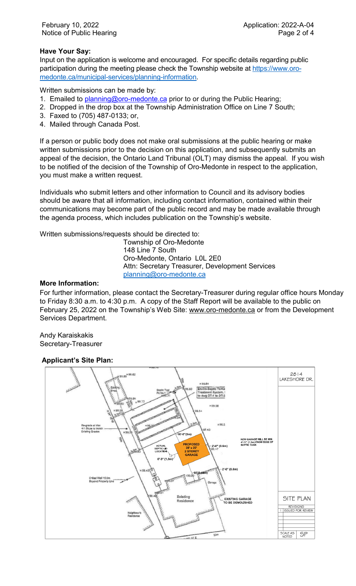## **Have Your Say:**

Input on the application is welcome and encouraged. For specific details regarding public participation during the meeting please check the Township website at [https://www.oro](https://www.oro-medonte.ca/municipal-services/planning-information)[medonte.ca/municipal-services/planning-information.](https://www.oro-medonte.ca/municipal-services/planning-information)

Written submissions can be made by:

- 1. Emailed to *planning@oro-medonte.ca* prior to or during the Public Hearing;
- 2. Dropped in the drop box at the Township Administration Office on Line 7 South;
- 3. Faxed to (705) 487-0133; or,
- 4. Mailed through Canada Post.

If a person or public body does not make oral submissions at the public hearing or make written submissions prior to the decision on this application, and subsequently submits an appeal of the decision, the Ontario Land Tribunal (OLT) may dismiss the appeal. If you wish to be notified of the decision of the Township of Oro-Medonte in respect to the application, you must make a written request.

Individuals who submit letters and other information to Council and its advisory bodies should be aware that all information, including contact information, contained within their communications may become part of the public record and may be made available through the agenda process, which includes publication on the Township's website.

Written submissions/requests should be directed to:

Township of Oro-Medonte 148 Line 7 South Oro-Medonte, Ontario L0L 2E0 Attn: Secretary Treasurer, Development Services [planning@oro-medonte.ca](mailto:planning@oro-medonte.ca)

#### **More Information:**

For further information, please contact the Secretary-Treasurer during regular office hours Monday to Friday 8:30 a.m. to 4:30 p.m. A copy of the Staff Report will be available to the public on February 25, 2022 on the Township's Web Site: [www.oro-medonte.ca](http://www.oro-medonte.ca/) or from the Development Services Department.

Andy Karaiskakis Secretary-Treasurer

## **Applicant's Site Plan:**

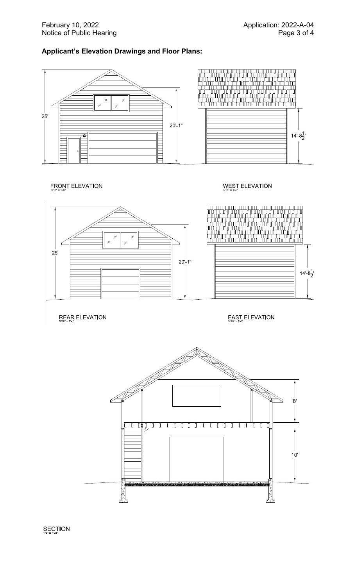## **Applicant's Elevation Drawings and Floor Plans:**



# FRONT ELEVATION

## WEST ELEVATION